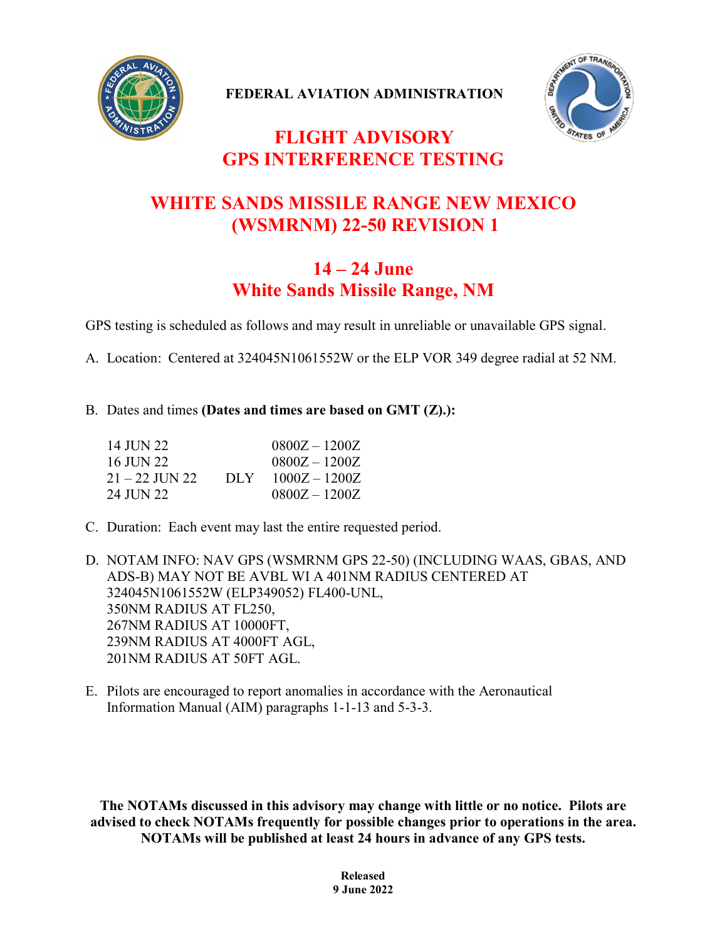

**FEDERAL AVIATION ADMINISTRATION**



## **FLIGHT ADVISORY GPS INTERFERENCE TESTING**

## **WHITE SANDS MISSILE RANGE NEW MEXICO (WSMRNM) 22-50 REVISION 1**

## **14 – 24 June White Sands Missile Range, NM**

GPS testing is scheduled as follows and may result in unreliable or unavailable GPS signal.

A. Location: Centered at 324045N1061552W or the ELP VOR 349 degree radial at 52 NM.

## B. Dates and times **(Dates and times are based on GMT (Z).):**

| 14 JUN 22.     |      | $0800Z - 1200Z$ |
|----------------|------|-----------------|
| 16 JUN 22      |      | $0800Z - 1200Z$ |
| 21 – 22 JUN 22 | DLY. | $1000Z - 1200Z$ |
| 24 II IN 22.   |      | $0800Z - 1200Z$ |

C. Duration: Each event may last the entire requested period.

D. NOTAM INFO: NAV GPS (WSMRNM GPS 22-50) (INCLUDING WAAS, GBAS, AND ADS-B) MAY NOT BE AVBL WI A 401NM RADIUS CENTERED AT 324045N1061552W (ELP349052) FL400-UNL, 350NM RADIUS AT FL250, 267NM RADIUS AT 10000FT, 239NM RADIUS AT 4000FT AGL, 201NM RADIUS AT 50FT AGL.

E. Pilots are encouraged to report anomalies in accordance with the Aeronautical Information Manual (AIM) paragraphs 1-1-13 and 5-3-3.

**The NOTAMs discussed in this advisory may change with little or no notice. Pilots are advised to check NOTAMs frequently for possible changes prior to operations in the area. NOTAMs will be published at least 24 hours in advance of any GPS tests.**